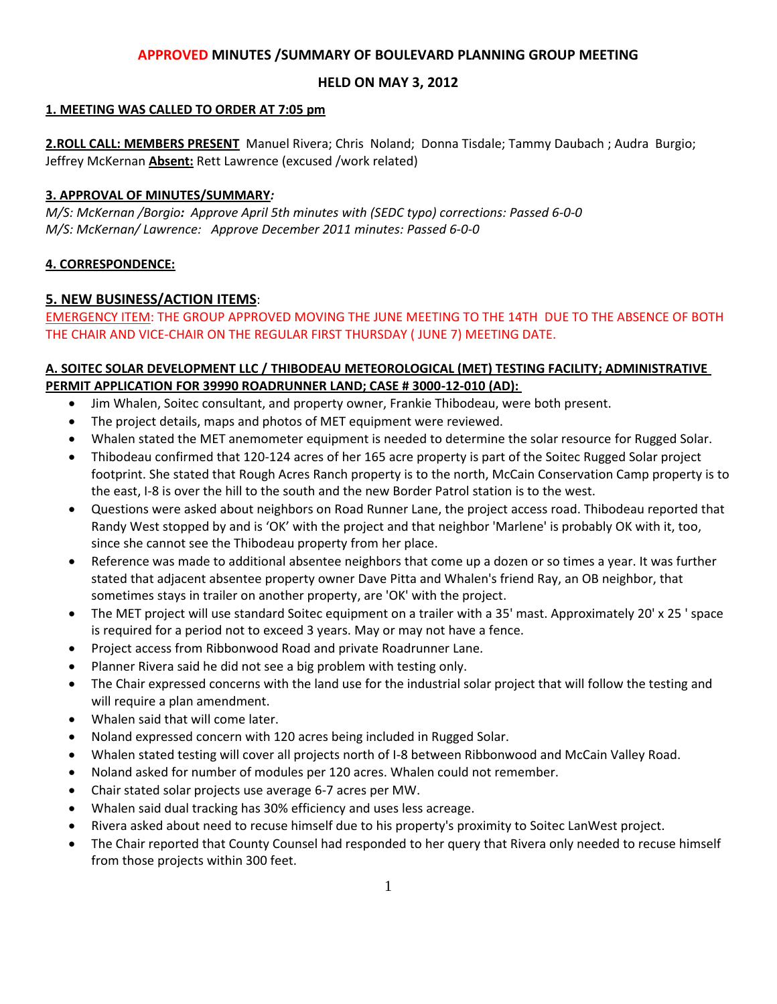# **APPROVED MINUTES /SUMMARY OF BOULEVARD PLANNING GROUP MEETING**

# **HELD ON MAY 3, 2012**

#### **1. MEETING WAS CALLED TO ORDER AT 7:05 pm**

**2.ROLL CALL: MEMBERS PRESENT** Manuel Rivera; Chris Noland; Donna Tisdale; Tammy Daubach ; Audra Burgio; Jeffrey McKernan **Absent:** Rett Lawrence (excused /work related)

#### **3. APPROVAL OF MINUTES/SUMMARY***:*

*M/S: McKernan /Borgio: Approve April 5th minutes with (SEDC typo) corrections: Passed 6-0-0* *M/S: McKernan/ Lawrence: Approve December 2011 minutes: Passed 6-0-0*

#### **4. CORRESPONDENCE:**

### **5. NEW BUSINESS/ACTION ITEMS**:

EMERGENCY ITEM: THE GROUP APPROVED MOVING THE JUNE MEETING TO THE 14TH DUE TO THE ABSENCE OF BOTH THE CHAIR AND VICE-CHAIR ON THE REGULAR FIRST THURSDAY ( JUNE 7) MEETING DATE.

## **A. SOITEC SOLAR DEVELOPMENT LLC / THIBODEAU METEOROLOGICAL (MET) TESTING FACILITY; ADMINISTRATIVE PERMIT APPLICATION FOR 39990 ROADRUNNER LAND; CASE # 3000-12-010 (AD):**

- Jim Whalen, Soitec consultant, and property owner, Frankie Thibodeau, were both present.
- The project details, maps and photos of MET equipment were reviewed.
- Whalen stated the MET anemometer equipment is needed to determine the solar resource for Rugged Solar.
- Thibodeau confirmed that 120-124 acres of her 165 acre property is part of the Soitec Rugged Solar project footprint. She stated that Rough Acres Ranch property is to the north, McCain Conservation Camp property is to the east, I-8 is over the hill to the south and the new Border Patrol station is to the west.
- Questions were asked about neighbors on Road Runner Lane, the project access road. Thibodeau reported that Randy West stopped by and is 'OK' with the project and that neighbor 'Marlene' is probably OK with it, too, since she cannot see the Thibodeau property from her place.
- Reference was made to additional absentee neighbors that come up a dozen or so times a year. It was further stated that adjacent absentee property owner Dave Pitta and Whalen's friend Ray, an OB neighbor, that sometimes stays in trailer on another property, are 'OK' with the project.
- The MET project will use standard Soitec equipment on a trailer with a 35' mast. Approximately 20' x 25 ' space is required for a period not to exceed 3 years. May or may not have a fence.
- Project access from Ribbonwood Road and private Roadrunner Lane.
- Planner Rivera said he did not see a big problem with testing only.
- The Chair expressed concerns with the land use for the industrial solar project that will follow the testing and will require a plan amendment.
- Whalen said that will come later.
- Noland expressed concern with 120 acres being included in Rugged Solar.
- Whalen stated testing will cover all projects north of I-8 between Ribbonwood and McCain Valley Road.
- Noland asked for number of modules per 120 acres. Whalen could not remember.
- Chair stated solar projects use average 6-7 acres per MW.
- Whalen said dual tracking has 30% efficiency and uses less acreage.
- Rivera asked about need to recuse himself due to his property's proximity to Soitec LanWest project.
- The Chair reported that County Counsel had responded to her query that Rivera only needed to recuse himself from those projects within 300 feet.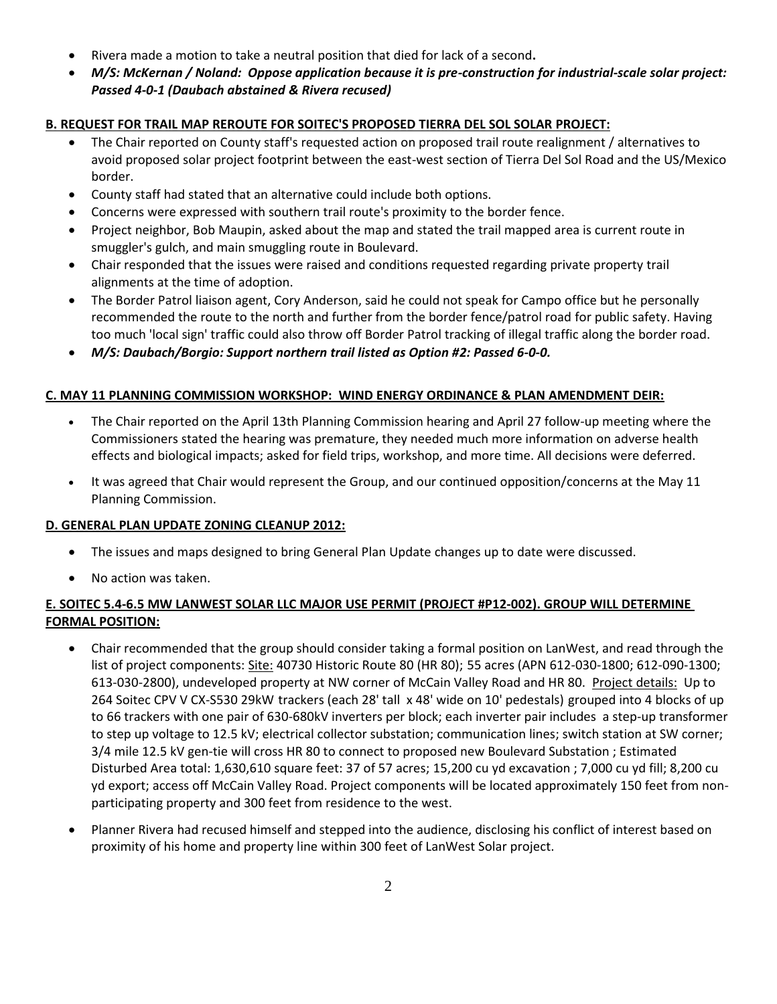- Rivera made a motion to take a neutral position that died for lack of a second**.**
- *M/S: McKernan / Noland: Oppose application because it is pre-construction for industrial-scale solar project: Passed 4-0-1 (Daubach abstained & Rivera recused)*

# **B. REQUEST FOR TRAIL MAP REROUTE FOR SOITEC'S PROPOSED TIERRA DEL SOL SOLAR PROJECT:**

- The Chair reported on County staff's requested action on proposed trail route realignment / alternatives to avoid proposed solar project footprint between the east-west section of Tierra Del Sol Road and the US/Mexico border.
- County staff had stated that an alternative could include both options.
- Concerns were expressed with southern trail route's proximity to the border fence.
- Project neighbor, Bob Maupin, asked about the map and stated the trail mapped area is current route in smuggler's gulch, and main smuggling route in Boulevard.
- Chair responded that the issues were raised and conditions requested regarding private property trail alignments at the time of adoption.
- The Border Patrol liaison agent, Cory Anderson, said he could not speak for Campo office but he personally recommended the route to the north and further from the border fence/patrol road for public safety. Having too much 'local sign' traffic could also throw off Border Patrol tracking of illegal traffic along the border road.
- *M/S: Daubach/Borgio: Support northern trail listed as Option #2: Passed 6-0-0.*

### **C. MAY 11 PLANNING COMMISSION WORKSHOP: WIND ENERGY ORDINANCE & PLAN AMENDMENT DEIR:**

- The Chair reported on the April 13th Planning Commission hearing and April 27 follow-up meeting where the Commissioners stated the hearing was premature, they needed much more information on adverse health effects and biological impacts; asked for field trips, workshop, and more time. All decisions were deferred.
- It was agreed that Chair would represent the Group, and our continued opposition/concerns at the May 11 Planning Commission.

### **D. GENERAL PLAN UPDATE ZONING CLEANUP 2012:**

- The issues and maps designed to bring General Plan Update changes up to date were discussed.
- No action was taken.

# **E. SOITEC 5.4-6.5 MW LANWEST SOLAR LLC MAJOR USE PERMIT (PROJECT #P12-002). GROUP WILL DETERMINE FORMAL POSITION:**

- Chair recommended that the group should consider taking a formal position on LanWest, and read through the list of project components: Site: 40730 Historic Route 80 (HR 80); 55 acres (APN 612-030-1800; 612-090-1300; 613-030-2800), undeveloped property at NW corner of McCain Valley Road and HR 80. Project details: Up to 264 Soitec CPV V CX-S530 29kW trackers (each 28' tall x 48' wide on 10' pedestals) grouped into 4 blocks of up to 66 trackers with one pair of 630-680kV inverters per block; each inverter pair includes a step-up transformer to step up voltage to 12.5 kV; electrical collector substation; communication lines; switch station at SW corner; 3/4 mile 12.5 kV gen-tie will cross HR 80 to connect to proposed new Boulevard Substation ; Estimated Disturbed Area total: 1,630,610 square feet: 37 of 57 acres; 15,200 cu yd excavation ; 7,000 cu yd fill; 8,200 cu yd export; access off McCain Valley Road. Project components will be located approximately 150 feet from nonparticipating property and 300 feet from residence to the west.
- Planner Rivera had recused himself and stepped into the audience, disclosing his conflict of interest based on proximity of his home and property line within 300 feet of LanWest Solar project.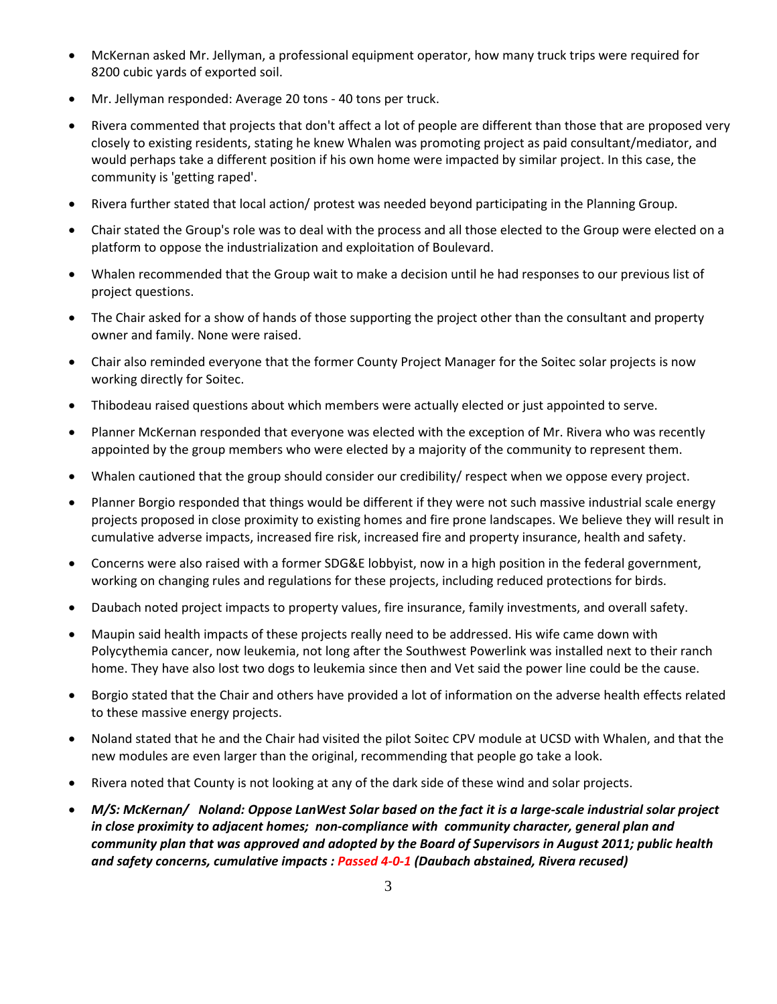- McKernan asked Mr. Jellyman, a professional equipment operator, how many truck trips were required for 8200 cubic yards of exported soil.
- Mr. Jellyman responded: Average 20 tons 40 tons per truck.
- Rivera commented that projects that don't affect a lot of people are different than those that are proposed very closely to existing residents, stating he knew Whalen was promoting project as paid consultant/mediator, and would perhaps take a different position if his own home were impacted by similar project. In this case, the community is 'getting raped'.
- Rivera further stated that local action/ protest was needed beyond participating in the Planning Group.
- Chair stated the Group's role was to deal with the process and all those elected to the Group were elected on a platform to oppose the industrialization and exploitation of Boulevard.
- Whalen recommended that the Group wait to make a decision until he had responses to our previous list of project questions.
- The Chair asked for a show of hands of those supporting the project other than the consultant and property owner and family. None were raised.
- Chair also reminded everyone that the former County Project Manager for the Soitec solar projects is now working directly for Soitec.
- Thibodeau raised questions about which members were actually elected or just appointed to serve.
- Planner McKernan responded that everyone was elected with the exception of Mr. Rivera who was recently appointed by the group members who were elected by a majority of the community to represent them.
- Whalen cautioned that the group should consider our credibility/ respect when we oppose every project.
- Planner Borgio responded that things would be different if they were not such massive industrial scale energy projects proposed in close proximity to existing homes and fire prone landscapes. We believe they will result in cumulative adverse impacts, increased fire risk, increased fire and property insurance, health and safety.
- Concerns were also raised with a former SDG&E lobbyist, now in a high position in the federal government, working on changing rules and regulations for these projects, including reduced protections for birds.
- Daubach noted project impacts to property values, fire insurance, family investments, and overall safety.
- Maupin said health impacts of these projects really need to be addressed. His wife came down with Polycythemia cancer, now leukemia, not long after the Southwest Powerlink was installed next to their ranch home. They have also lost two dogs to leukemia since then and Vet said the power line could be the cause.
- Borgio stated that the Chair and others have provided a lot of information on the adverse health effects related to these massive energy projects.
- Noland stated that he and the Chair had visited the pilot Soitec CPV module at UCSD with Whalen, and that the new modules are even larger than the original, recommending that people go take a look.
- Rivera noted that County is not looking at any of the dark side of these wind and solar projects.
- *M/S: McKernan/ Noland: Oppose LanWest Solar based on the fact it is a large-scale industrial solar project in close proximity to adjacent homes; non-compliance with community character, general plan and community plan that was approved and adopted by the Board of Supervisors in August 2011; public health and safety concerns, cumulative impacts : Passed 4-0-1 (Daubach abstained, Rivera recused)*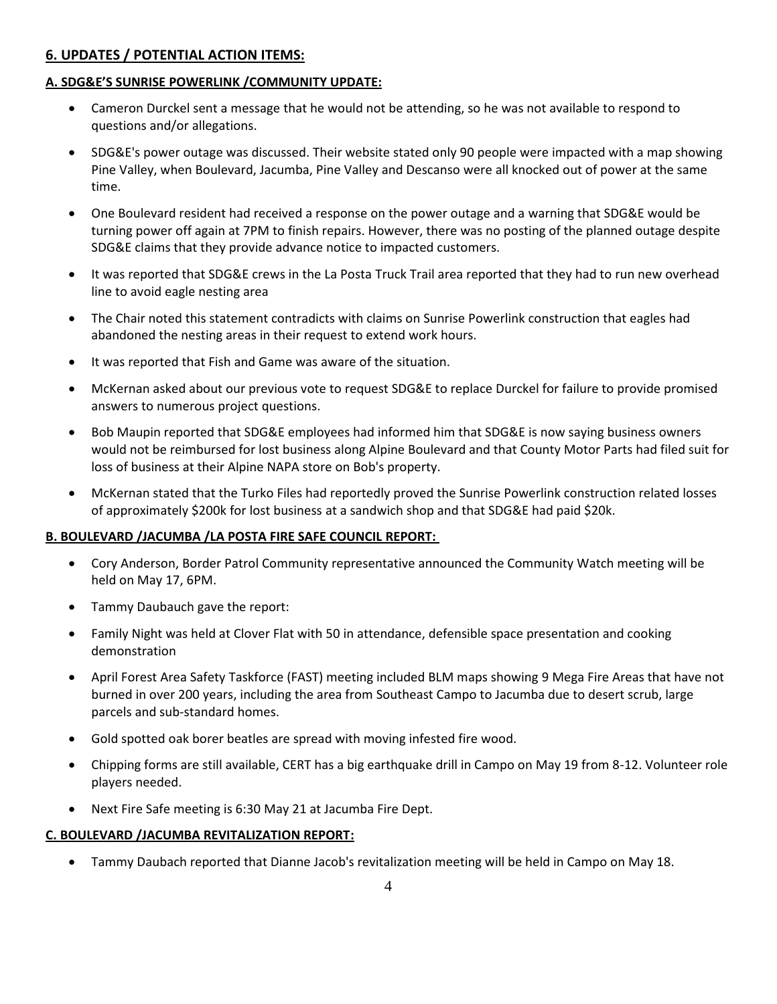# **6. UPDATES / POTENTIAL ACTION ITEMS:**

### **A. SDG&E'S SUNRISE POWERLINK /COMMUNITY UPDATE:**

- Cameron Durckel sent a message that he would not be attending, so he was not available to respond to questions and/or allegations.
- SDG&E's power outage was discussed. Their website stated only 90 people were impacted with a map showing Pine Valley, when Boulevard, Jacumba, Pine Valley and Descanso were all knocked out of power at the same time.
- One Boulevard resident had received a response on the power outage and a warning that SDG&E would be turning power off again at 7PM to finish repairs. However, there was no posting of the planned outage despite SDG&E claims that they provide advance notice to impacted customers.
- It was reported that SDG&E crews in the La Posta Truck Trail area reported that they had to run new overhead line to avoid eagle nesting area
- The Chair noted this statement contradicts with claims on Sunrise Powerlink construction that eagles had abandoned the nesting areas in their request to extend work hours.
- It was reported that Fish and Game was aware of the situation.
- McKernan asked about our previous vote to request SDG&E to replace Durckel for failure to provide promised answers to numerous project questions.
- Bob Maupin reported that SDG&E employees had informed him that SDG&E is now saying business owners would not be reimbursed for lost business along Alpine Boulevard and that County Motor Parts had filed suit for loss of business at their Alpine NAPA store on Bob's property.
- McKernan stated that the Turko Files had reportedly proved the Sunrise Powerlink construction related losses of approximately \$200k for lost business at a sandwich shop and that SDG&E had paid \$20k.

### **B. BOULEVARD /JACUMBA /LA POSTA FIRE SAFE COUNCIL REPORT:**

- Cory Anderson, Border Patrol Community representative announced the Community Watch meeting will be held on May 17, 6PM.
- Tammy Daubauch gave the report:
- Family Night was held at Clover Flat with 50 in attendance, defensible space presentation and cooking demonstration
- April Forest Area Safety Taskforce (FAST) meeting included BLM maps showing 9 Mega Fire Areas that have not burned in over 200 years, including the area from Southeast Campo to Jacumba due to desert scrub, large parcels and sub-standard homes.
- Gold spotted oak borer beatles are spread with moving infested fire wood.
- Chipping forms are still available, CERT has a big earthquake drill in Campo on May 19 from 8-12. Volunteer role players needed.
- Next Fire Safe meeting is 6:30 May 21 at Jacumba Fire Dept.

### **C. BOULEVARD /JACUMBA REVITALIZATION REPORT:**

Tammy Daubach reported that Dianne Jacob's revitalization meeting will be held in Campo on May 18.